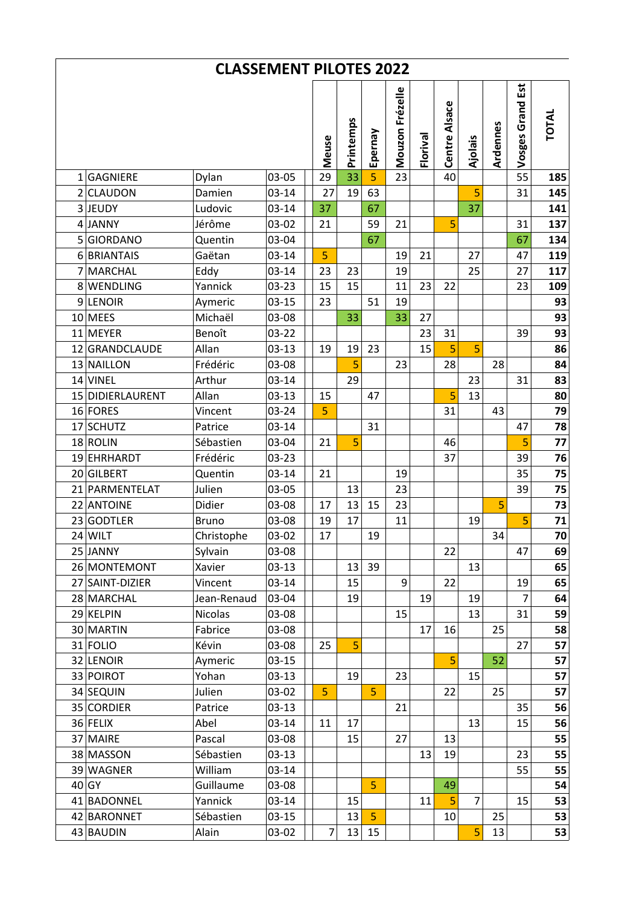| <b>CLASSEMENT PILOTES 2022</b> |                               |                        |                    |  |                |           |                |                 |          |               |                |          |                  |              |
|--------------------------------|-------------------------------|------------------------|--------------------|--|----------------|-----------|----------------|-----------------|----------|---------------|----------------|----------|------------------|--------------|
|                                |                               |                        |                    |  | Meuse          | Printemps | Epernay        | Mouzon Frézelle | Florival | Centre Alsace | Ajolais        | Ardennes | Vosges Grand Est | <b>TOTAL</b> |
|                                | 1 GAGNIERE                    | Dylan                  | 03-05              |  | 29             | 33        | $\overline{5}$ | 23              |          | 40            |                |          | 55               | 185          |
|                                | 2 CLAUDON                     | Damien                 | $03 - 14$          |  | 27             | 19        | 63             |                 |          |               | 5              |          | 31               | 145          |
|                                | 3JEUDY                        | Ludovic                | $03 - 14$          |  | 37             |           | 67             |                 |          |               | 37             |          |                  | 141          |
|                                | 4 JANNY                       | Jérôme                 | 03-02              |  | 21             |           | 59             | 21              |          | 5             |                |          | 31               | 137          |
|                                | 5 GIORDANO                    | Quentin                | 03-04              |  |                |           | 67             |                 |          |               |                |          | 67               | 134          |
|                                | 6 BRIANTAIS                   | Gaëtan                 | $03 - 14$          |  | 5              |           |                | 19              | 21       |               | 27             |          | 47               | 119          |
|                                | 7 MARCHAL                     | Eddy                   | $03 - 14$          |  | 23             | 23        |                | 19              |          |               | 25             |          | 27               | 117          |
|                                | 8 WENDLING                    | Yannick                | 03-23              |  | 15             | 15        |                | 11              | 23       | 22            |                |          | 23               | 109          |
|                                | 9 LENOIR                      | Aymeric                | $03 - 15$          |  | 23             |           | 51             | 19              |          |               |                |          |                  | 93           |
|                                | 10 MEES                       | Michaël                | 03-08              |  |                | 33        |                | 33              | 27       |               |                |          |                  | 93           |
|                                | 11 MEYER                      | Benoît                 | 03-22              |  |                |           |                |                 | 23       | 31            |                |          | 39               | 93           |
|                                | 12 GRANDCLAUDE                | Allan                  | $03 - 13$          |  | 19             | 19        | 23             |                 | 15       | 5             | 5              |          |                  | 86           |
|                                | 13 NAILLON                    | Frédéric               | 03-08              |  |                | 5         |                | 23              |          | 28            |                | 28       |                  | 84           |
|                                | 14 VINEL                      | Arthur                 | 03-14              |  |                | 29        |                |                 |          |               | 23             |          | 31               | 83           |
|                                | 15 DIDIERLAURENT              | Allan                  | $03 - 13$          |  | 15             |           | 47             |                 |          | 5             | 13             |          |                  | 80           |
|                                | 16 FORES                      | Vincent                | 03-24              |  | 5              |           |                |                 |          | 31            |                | 43       |                  | 79           |
|                                | 17 SCHUTZ                     | Patrice                | $03 - 14$          |  |                |           | 31             |                 |          |               |                |          | 47               | 78           |
|                                | 18 ROLIN                      | Sébastien              | 03-04              |  | 21             | 5         |                |                 |          | 46            |                |          | 5                | 77           |
|                                | 19 EHRHARDT                   | Frédéric               | 03-23              |  |                |           |                |                 |          | 37            |                |          | 39               | 76           |
|                                | 20 GILBERT                    | Quentin                | $03 - 14$          |  | 21             |           |                | 19              |          |               |                |          | 35               | 75           |
|                                | 21 PARMENTELAT                | Julien                 | 03-05              |  |                | 13        |                | 23              |          |               |                |          | 39               | 75           |
|                                | 22 ANTOINE                    | Didier                 | 03-08              |  | 17             | 13        | 15             | 23              |          |               |                | 5        |                  | 73           |
|                                | 23 GODTLER                    | <b>Bruno</b>           | 03-08              |  | 19             | 17        |                | 11              |          |               | 19             |          | 5                | 71           |
|                                | $24$ WILT                     | Christophe             | 03-02              |  | 17             |           | 19             |                 |          |               |                | 34       |                  | 70           |
|                                | 25 JANNY                      | Sylvain                | 03-08              |  |                |           |                |                 |          | 22            |                |          | 47               | 69           |
|                                | 26 MONTEMONT                  | Xavier                 | $03-13$            |  |                | 13        | 39             |                 |          | 22            | 13             |          |                  | 65           |
|                                | 27 SAINT-DIZIER<br>28 MARCHAL | Vincent<br>Jean-Renaud | $03 - 14$<br>03-04 |  |                | 15<br>19  |                | 9               | 19       |               | 19             |          | 19<br>7          | 65<br>64     |
|                                | 29 KELPIN                     | Nicolas                |                    |  |                |           |                | 15              |          |               | 13             |          | 31               | 59           |
|                                | 30 MARTIN                     | Fabrice                | 03-08<br>03-08     |  |                |           |                |                 | 17       | 16            |                | 25       |                  | 58           |
|                                | 31 FOLIO                      | Kévin                  | 03-08              |  | 25             | 5         |                |                 |          |               |                |          | 27               | 57           |
|                                | 32 LENOIR                     | Aymeric                | $03-15$            |  |                |           |                |                 |          | 5             |                | 52       |                  | 57           |
|                                | 33 POIROT                     | Yohan                  | $03-13$            |  |                | 19        |                | 23              |          |               | 15             |          |                  | 57           |
|                                | 34 SEQUIN                     | Julien                 | 03-02              |  | 5              |           | $\overline{5}$ |                 |          | 22            |                | 25       |                  | 57           |
|                                | 35 CORDIER                    | Patrice                | $03-13$            |  |                |           |                | 21              |          |               |                |          | 35               | 56           |
|                                | 36 FELIX                      | Abel                   | $03 - 14$          |  | 11             | 17        |                |                 |          |               | 13             |          | 15               | 56           |
|                                | 37 MAIRE                      | Pascal                 | 03-08              |  |                | 15        |                | 27              |          | 13            |                |          |                  | 55           |
|                                | 38 MASSON                     | Sébastien              | $03-13$            |  |                |           |                |                 | 13       | 19            |                |          | 23               | 55           |
|                                | 39 WAGNER                     | William                | $03 - 14$          |  |                |           |                |                 |          |               |                |          | 55               | 55           |
|                                | 40 GY                         | Guillaume              | 03-08              |  |                |           | $\overline{5}$ |                 |          | 49            |                |          |                  | 54           |
|                                | 41 BADONNEL                   | Yannick                | $03 - 14$          |  |                | 15        |                |                 | 11       | 5             | $\overline{7}$ |          | 15               | 53           |
|                                | 42 BARONNET                   | Sébastien              | $03-15$            |  |                | 13        | 5              |                 |          | 10            |                | 25       |                  | 53           |
|                                | 43 BAUDIN                     | Alain                  | 03-02              |  | $\overline{7}$ | 13        | 15             |                 |          |               | 5              | 13       |                  | 53           |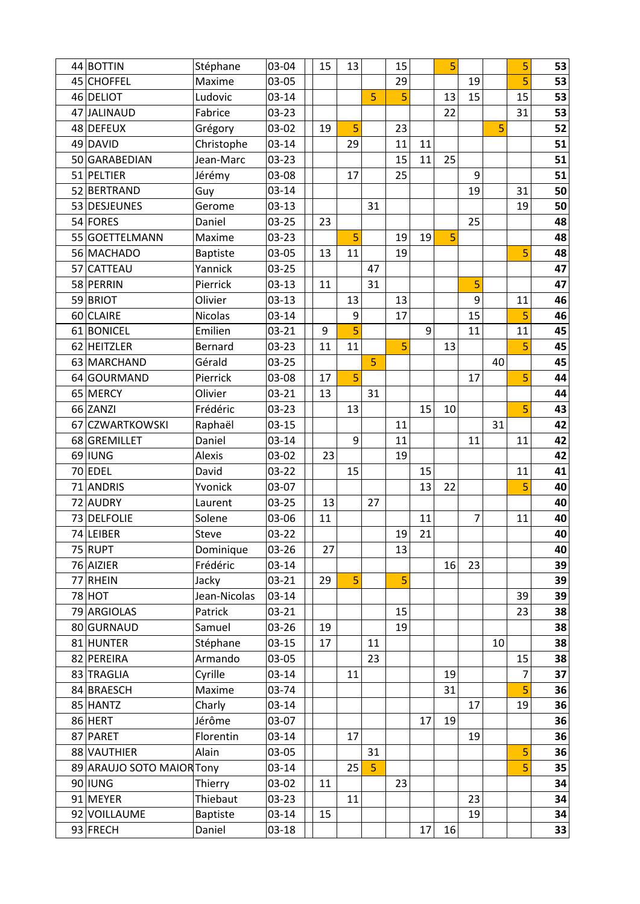| 44 BOTTIN                 | Stéphane        | 03-04     | 15 | 13 |    | 15 |    | 5  |    |    | 5  | 53 |
|---------------------------|-----------------|-----------|----|----|----|----|----|----|----|----|----|----|
| 45 CHOFFEL                | Maxime          | 03-05     |    |    |    | 29 |    |    | 19 |    | 5  | 53 |
| 46 DELIOT                 | Ludovic         | $03 - 14$ |    |    | 5  | 5  |    | 13 | 15 |    | 15 | 53 |
| 47 JALINAUD               | Fabrice         | 03-23     |    |    |    |    |    | 22 |    |    | 31 | 53 |
| 48 DEFEUX                 | Grégory         | 03-02     | 19 | 5  |    | 23 |    |    |    | 5  |    | 52 |
| 49 DAVID                  | Christophe      | $03 - 14$ |    | 29 |    | 11 | 11 |    |    |    |    | 51 |
| 50 GARABEDIAN             | Jean-Marc       | $03 - 23$ |    |    |    | 15 | 11 | 25 |    |    |    | 51 |
| 51 PELTIER                | Jérémy          | 03-08     |    | 17 |    | 25 |    |    | 9  |    |    | 51 |
| 52 BERTRAND               | Guy             | $03 - 14$ |    |    |    |    |    |    | 19 |    | 31 | 50 |
| 53 DESJEUNES              | Gerome          | $03-13$   |    |    | 31 |    |    |    |    |    | 19 | 50 |
| 54 FORES                  | Daniel          | $03 - 25$ | 23 |    |    |    |    |    | 25 |    |    | 48 |
| 55 GOETTELMANN            | Maxime          | 03-23     |    | 5  |    | 19 | 19 | 5  |    |    |    | 48 |
| 56 MACHADO                | <b>Baptiste</b> | 03-05     | 13 | 11 |    | 19 |    |    |    |    | 5  | 48 |
| 57 CATTEAU                | Yannick         | $03 - 25$ |    |    | 47 |    |    |    |    |    |    | 47 |
| 58 PERRIN                 | Pierrick        | $03-13$   | 11 |    | 31 |    |    |    | 5  |    |    | 47 |
| 59 BRIOT                  | Olivier         | $03-13$   |    | 13 |    | 13 |    |    | 9  |    | 11 | 46 |
| 60 CLAIRE                 | <b>Nicolas</b>  | $03 - 14$ |    | 9  |    | 17 |    |    | 15 |    | 5  | 46 |
| 61 BONICEL                | Emilien         | $03 - 21$ | 9  | 5  |    |    | 9  |    | 11 |    | 11 | 45 |
| 62 HEITZLER               | Bernard         | 03-23     | 11 | 11 |    | 5  |    | 13 |    |    | 5  | 45 |
| 63 MARCHAND               | Gérald          | $03 - 25$ |    |    | 5  |    |    |    |    | 40 |    | 45 |
| 64 GOURMAND               | Pierrick        | 03-08     | 17 | 5  |    |    |    |    | 17 |    | 5  | 44 |
| 65 MERCY                  | Olivier         | $03 - 21$ | 13 |    | 31 |    |    |    |    |    |    | 44 |
| 66 ZANZI                  | Frédéric        | 03-23     |    | 13 |    |    | 15 | 10 |    |    | 5  | 43 |
| 67 CZWARTKOWSKI           | Raphaël         | $03 - 15$ |    |    |    | 11 |    |    |    | 31 |    | 42 |
| 68 GREMILLET              | Daniel          | $03 - 14$ |    | 9  |    | 11 |    |    | 11 |    | 11 | 42 |
| 69 IUNG                   | Alexis          | 03-02     | 23 |    |    | 19 |    |    |    |    |    | 42 |
| 70 EDEL                   | David           | $03 - 22$ |    | 15 |    |    | 15 |    |    |    | 11 | 41 |
| 71 ANDRIS                 | Yvonick         | 03-07     |    |    |    |    | 13 | 22 |    |    | 5  | 40 |
| 72 AUDRY                  | Laurent         | $03 - 25$ | 13 |    | 27 |    |    |    |    |    |    | 40 |
| 73 DELFOLIE               | Solene          | 03-06     | 11 |    |    |    | 11 |    | 7  |    | 11 | 40 |
| 74 LEIBER                 | Steve           | 03-22     |    |    |    | 19 | 21 |    |    |    |    | 40 |
| 75 RUPT                   | Dominique       | 03-26     | 27 |    |    | 13 |    |    |    |    |    | 40 |
| 76 AIZIER                 | Frédéric        | $03 - 14$ |    |    |    |    |    | 16 | 23 |    |    | 39 |
| 77 RHEIN                  | Jacky           | $03 - 21$ | 29 | 5  |    | 5  |    |    |    |    |    | 39 |
| $78$ HOT                  | Jean-Nicolas    | $03 - 14$ |    |    |    |    |    |    |    |    | 39 | 39 |
| 79 ARGIOLAS               | Patrick         | $03 - 21$ |    |    |    | 15 |    |    |    |    | 23 | 38 |
| 80 GURNAUD                | Samuel          | 03-26     | 19 |    |    | 19 |    |    |    |    |    | 38 |
| 81 HUNTER                 | Stéphane        | $03 - 15$ | 17 |    | 11 |    |    |    |    | 10 |    | 38 |
| 82 PEREIRA                | Armando         | 03-05     |    |    | 23 |    |    |    |    |    | 15 | 38 |
| 83 TRAGLIA                | Cyrille         | $03 - 14$ |    | 11 |    |    |    | 19 |    |    | 7  | 37 |
| 84 BRAESCH                | Maxime          | 03-74     |    |    |    |    |    | 31 |    |    | 5  | 36 |
| 85 HANTZ                  | Charly          | $03 - 14$ |    |    |    |    |    |    | 17 |    | 19 | 36 |
| 86 HERT                   | Jérôme          | 03-07     |    |    |    |    | 17 | 19 |    |    |    | 36 |
| 87 PARET                  | Florentin       | $03 - 14$ |    | 17 |    |    |    |    | 19 |    |    | 36 |
| 88 VAUTHIER               | Alain           | 03-05     |    |    | 31 |    |    |    |    |    | 5  | 36 |
| 89 ARAUJO SOTO MAIOR Tony |                 | $03 - 14$ |    | 25 | 5  |    |    |    |    |    | 5  | 35 |
| 90 IUNG                   | Thierry         | 03-02     | 11 |    |    | 23 |    |    |    |    |    | 34 |
| 91 MEYER                  | Thiebaut        | $03 - 23$ |    | 11 |    |    |    |    | 23 |    |    | 34 |
| 92 VOILLAUME              | <b>Baptiste</b> | $03 - 14$ | 15 |    |    |    |    |    | 19 |    |    | 34 |
| 93 FRECH                  | Daniel          | $03 - 18$ |    |    |    |    | 17 | 16 |    |    |    | 33 |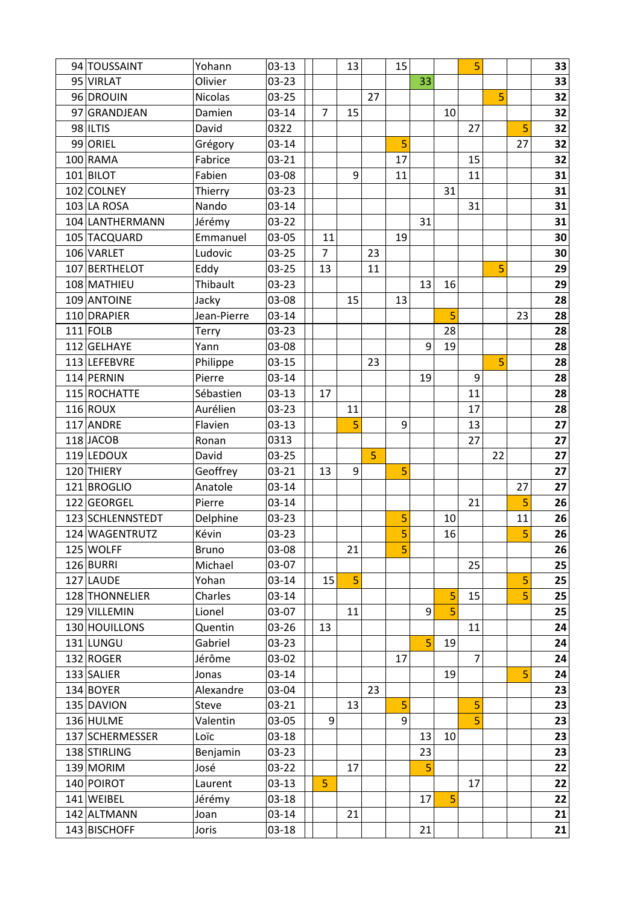| 94 TOUSSAINT     | Yohann         | $03-13$   |                | 13 |    | 15 |    |    | 5              |    |    | 33 |
|------------------|----------------|-----------|----------------|----|----|----|----|----|----------------|----|----|----|
| 95 VIRLAT        | Olivier        | $03 - 23$ |                |    |    |    | 33 |    |                |    |    | 33 |
| 96 DROUIN        | <b>Nicolas</b> | 03-25     |                |    | 27 |    |    |    |                | 5  |    | 32 |
| 97 GRANDJEAN     | Damien         | $03 - 14$ | $\overline{7}$ | 15 |    |    |    | 10 |                |    |    | 32 |
| 98 ILTIS         | David          | 0322      |                |    |    |    |    |    | 27             |    | 5  | 32 |
| 99 ORIEL         | Grégory        | $03 - 14$ |                |    |    | 5  |    |    |                |    | 27 | 32 |
| 100 RAMA         | Fabrice        | $03 - 21$ |                |    |    | 17 |    |    | 15             |    |    | 32 |
| 101 BILOT        | Fabien         | 03-08     |                | 9  |    | 11 |    |    | 11             |    |    | 31 |
| 102 COLNEY       | Thierry        | $03 - 23$ |                |    |    |    |    | 31 |                |    |    | 31 |
| 103 LA ROSA      | Nando          | 03-14     |                |    |    |    |    |    | 31             |    |    | 31 |
| 104 LANTHERMANN  | Jérémy         | 03-22     |                |    |    |    | 31 |    |                |    |    | 31 |
| 105 TACQUARD     | Emmanuel       | 03-05     | 11             |    |    | 19 |    |    |                |    |    | 30 |
| 106 VARLET       | Ludovic        | $03 - 25$ | $\overline{7}$ |    | 23 |    |    |    |                |    |    | 30 |
| 107 BERTHELOT    | Eddy           | $03 - 25$ | 13             |    | 11 |    |    |    |                | 5  |    | 29 |
| 108 MATHIEU      | Thibault       | $03 - 23$ |                |    |    |    | 13 | 16 |                |    |    | 29 |
| 109 ANTOINE      | Jacky          | 03-08     |                | 15 |    | 13 |    |    |                |    |    | 28 |
| 110 DRAPIER      | Jean-Pierre    | $03 - 14$ |                |    |    |    |    | 5  |                |    | 23 | 28 |
| $111$ FOLB       | <b>Terry</b>   | $03 - 23$ |                |    |    |    |    | 28 |                |    |    | 28 |
| 112 GELHAYE      | Yann           | 03-08     |                |    |    |    | 9  | 19 |                |    |    | 28 |
| 113 LEFEBVRE     | Philippe       | $03-15$   |                |    | 23 |    |    |    |                | 5  |    | 28 |
| 114 PERNIN       | Pierre         | $03 - 14$ |                |    |    |    | 19 |    | 9              |    |    | 28 |
| 115 ROCHATTE     | Sébastien      | $03-13$   | 17             |    |    |    |    |    | 11             |    |    | 28 |
| $116$ ROUX       | Aurélien       | 03-23     |                | 11 |    |    |    |    | 17             |    |    | 28 |
| 117 ANDRE        | Flavien        | $03-13$   |                | 5  |    | 9  |    |    | 13             |    |    | 27 |
| 118 JACOB        | Ronan          | 0313      |                |    |    |    |    |    | 27             |    |    | 27 |
| 119 LEDOUX       | David          | $03 - 25$ |                |    | 5  |    |    |    |                | 22 |    | 27 |
| 120 THIERY       | Geoffrey       | 03-21     | 13             | 9  |    | 5  |    |    |                |    |    | 27 |
| 121 BROGLIO      | Anatole        | $03 - 14$ |                |    |    |    |    |    |                |    | 27 | 27 |
| 122 GEORGEL      | Pierre         | $03 - 14$ |                |    |    |    |    |    | 21             |    | 5  | 26 |
| 123 SCHLENNSTEDT | Delphine       | $03 - 23$ |                |    |    | 5  |    | 10 |                |    | 11 | 26 |
| 124 WAGENTRUTZ   | Kévin          | $03 - 23$ |                |    |    | 5  |    | 16 |                |    | 5  | 26 |
| 125 WOLFF        | <b>Bruno</b>   | 03-08     |                | 21 |    | 5  |    |    |                |    |    | 26 |
| 126 BURRI        | Michael        | 03-07     |                |    |    |    |    |    | 25             |    |    | 25 |
| 127 LAUDE        | Yohan          | $03 - 14$ | 15             | 5  |    |    |    |    |                |    | 5  | 25 |
| 128 THONNELIER   | Charles        | $03 - 14$ |                |    |    |    |    | 5  | 15             |    | 5  | 25 |
| 129 VILLEMIN     | Lionel         | 03-07     |                | 11 |    |    | 9  | 5  |                |    |    | 25 |
| 130 HOUILLONS    | Quentin        | 03-26     | 13             |    |    |    |    |    | 11             |    |    | 24 |
| 131 LUNGU        | Gabriel        | 03-23     |                |    |    |    | 5  | 19 |                |    |    | 24 |
| 132 ROGER        | Jérôme         | 03-02     |                |    |    | 17 |    |    | $\overline{7}$ |    |    | 24 |
| $133$ SALIER     | Jonas          | $03 - 14$ |                |    |    |    |    | 19 |                |    | 5  | 24 |
| 134 BOYER        | Alexandre      | 03-04     |                |    | 23 |    |    |    |                |    |    | 23 |
| 135 DAVION       | Steve          | $03 - 21$ |                | 13 |    | 5  |    |    | 5              |    |    | 23 |
| 136 HULME        | Valentin       | 03-05     | 9              |    |    | 9  |    |    | 5              |    |    | 23 |
| 137 SCHERMESSER  | Loïc           | $03-18$   |                |    |    |    | 13 | 10 |                |    |    | 23 |
| 138 STIRLING     | Benjamin       | $03-23$   |                |    |    |    | 23 |    |                |    |    | 23 |
| 139 MORIM        | José           | $03-22$   |                | 17 |    |    | 5  |    |                |    |    | 22 |
| 140 POIROT       | Laurent        | $03-13$   | 5              |    |    |    |    |    | 17             |    |    | 22 |
| 141 WEIBEL       | Jérémy         | 03-18     |                |    |    |    | 17 | 5  |                |    |    | 22 |
| 142 ALTMANN      | Joan           | $03 - 14$ |                | 21 |    |    |    |    |                |    |    | 21 |
| 143 BISCHOFF     | Joris          | 03-18     |                |    |    |    | 21 |    |                |    |    | 21 |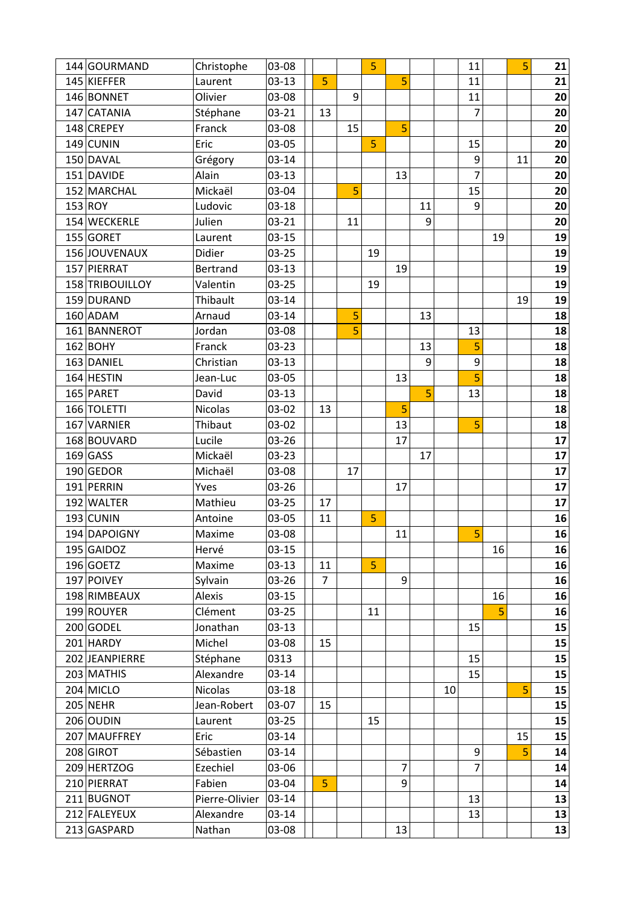| 144 GOURMAND    | Christophe     | 03-08     |                |    | 5  |    |    |    | 11             |    | 5  | 21 |
|-----------------|----------------|-----------|----------------|----|----|----|----|----|----------------|----|----|----|
| 145 KIEFFER     | Laurent        | $03-13$   | 5              |    |    | 5  |    |    | 11             |    |    | 21 |
| 146 BONNET      | Olivier        | 03-08     |                | 9  |    |    |    |    | 11             |    |    | 20 |
| 147 CATANIA     | Stéphane       | 03-21     | 13             |    |    |    |    |    | $\overline{7}$ |    |    | 20 |
| 148 CREPEY      | Franck         | 03-08     |                | 15 |    | 5  |    |    |                |    |    | 20 |
| $149$ CUNIN     | Eric           | 03-05     |                |    | 5  |    |    |    | 15             |    |    | 20 |
| 150 DAVAL       | Grégory        | $03 - 14$ |                |    |    |    |    |    | 9              |    | 11 | 20 |
| 151 DAVIDE      | Alain          | $03-13$   |                |    |    | 13 |    |    | 7              |    |    | 20 |
| 152 MARCHAL     | Mickaël        | 03-04     |                | 5  |    |    |    |    | 15             |    |    | 20 |
| 153 ROY         | Ludovic        | 03-18     |                |    |    |    | 11 |    | 9              |    |    | 20 |
| 154 WECKERLE    | Julien         | $03 - 21$ |                | 11 |    |    | 9  |    |                |    |    | 20 |
| 155 GORET       | Laurent        | $03-15$   |                |    |    |    |    |    |                | 19 |    | 19 |
| 156 JOUVENAUX   | Didier         | $03 - 25$ |                |    | 19 |    |    |    |                |    |    | 19 |
| 157 PIERRAT     | Bertrand       | $03-13$   |                |    |    | 19 |    |    |                |    |    | 19 |
| 158 TRIBOUILLOY | Valentin       | $03 - 25$ |                |    | 19 |    |    |    |                |    |    | 19 |
| 159 DURAND      | Thibault       | $03 - 14$ |                |    |    |    |    |    |                |    | 19 | 19 |
| 160 ADAM        | Arnaud         | $03 - 14$ |                | 5  |    |    | 13 |    |                |    |    | 18 |
| 161 BANNEROT    | Jordan         | 03-08     |                | 5  |    |    |    |    | 13             |    |    | 18 |
| $162$ BOHY      | Franck         | 03-23     |                |    |    |    | 13 |    | 5              |    |    | 18 |
| 163 DANIEL      | Christian      | $03-13$   |                |    |    |    | 9  |    | 9              |    |    | 18 |
| 164 HESTIN      | Jean-Luc       | 03-05     |                |    |    | 13 |    |    | 5              |    |    | 18 |
| 165 PARET       | David          | $03-13$   |                |    |    |    | 5  |    | 13             |    |    | 18 |
| 166 TOLETTI     | <b>Nicolas</b> | 03-02     | 13             |    |    | 5  |    |    |                |    |    | 18 |
| 167 VARNIER     | Thibaut        | 03-02     |                |    |    | 13 |    |    | 5              |    |    | 18 |
| 168 BOUVARD     | Lucile         | 03-26     |                |    |    | 17 |    |    |                |    |    | 17 |
| $169$ GASS      | Mickaël        | 03-23     |                |    |    |    | 17 |    |                |    |    | 17 |
| 190 GEDOR       | Michaël        | 03-08     |                | 17 |    |    |    |    |                |    |    | 17 |
| 191 PERRIN      | Yves           | 03-26     |                |    |    | 17 |    |    |                |    |    | 17 |
| 192 WALTER      | Mathieu        | $03 - 25$ | 17             |    |    |    |    |    |                |    |    | 17 |
| 193 CUNIN       | Antoine        | 03-05     | 11             |    | 5  |    |    |    |                |    |    | 16 |
| 194 DAPOIGNY    | Maxime         | 03-08     |                |    |    | 11 |    |    | 5              |    |    | 16 |
| 195 GAIDOZ      | Hervé          | $03-15$   |                |    |    |    |    |    |                | 16 |    | 16 |
| $196$ GOETZ     | Maxime         | $03-13$   | 11             |    | 5  |    |    |    |                |    |    | 16 |
| 197 POIVEY      | Sylvain        | 03-26     | $\overline{7}$ |    |    | 9  |    |    |                |    |    | 16 |
| 198 RIMBEAUX    | Alexis         | $03-15$   |                |    |    |    |    |    |                | 16 |    | 16 |
| 199 ROUYER      | Clément        | 03-25     |                |    | 11 |    |    |    |                | 5  |    | 16 |
| 200 GODEL       | Jonathan       | $03-13$   |                |    |    |    |    |    | 15             |    |    | 15 |
| 201 HARDY       | Michel         | 03-08     | 15             |    |    |    |    |    |                |    |    | 15 |
| 202 JEANPIERRE  | Stéphane       | 0313      |                |    |    |    |    |    | 15             |    |    | 15 |
| 203 MATHIS      | Alexandre      | $03 - 14$ |                |    |    |    |    |    | 15             |    |    | 15 |
| 204 MICLO       | <b>Nicolas</b> | $03 - 18$ |                |    |    |    |    | 10 |                |    | 5  | 15 |
| $205$ NEHR      | Jean-Robert    | 03-07     | 15             |    |    |    |    |    |                |    |    | 15 |
| 206 OUDIN       | Laurent        | 03-25     |                |    | 15 |    |    |    |                |    |    | 15 |
| 207 MAUFFREY    | Eric           | $03 - 14$ |                |    |    |    |    |    |                |    | 15 | 15 |
| 208 GIROT       | Sébastien      | $03 - 14$ |                |    |    |    |    |    | 9              |    | 5  | 14 |
| 209 HERTZOG     | Ezechiel       | 03-06     |                |    |    | 7  |    |    | $\overline{7}$ |    |    | 14 |
| 210 PIERRAT     | Fabien         | 03-04     | 5              |    |    | 9  |    |    |                |    |    | 14 |
| 211 BUGNOT      | Pierre-Olivier | $03 - 14$ |                |    |    |    |    |    | 13             |    |    | 13 |
| 212 FALEYEUX    | Alexandre      | $03 - 14$ |                |    |    |    |    |    | 13             |    |    | 13 |
| 213 GASPARD     | Nathan         | 03-08     |                |    |    | 13 |    |    |                |    |    | 13 |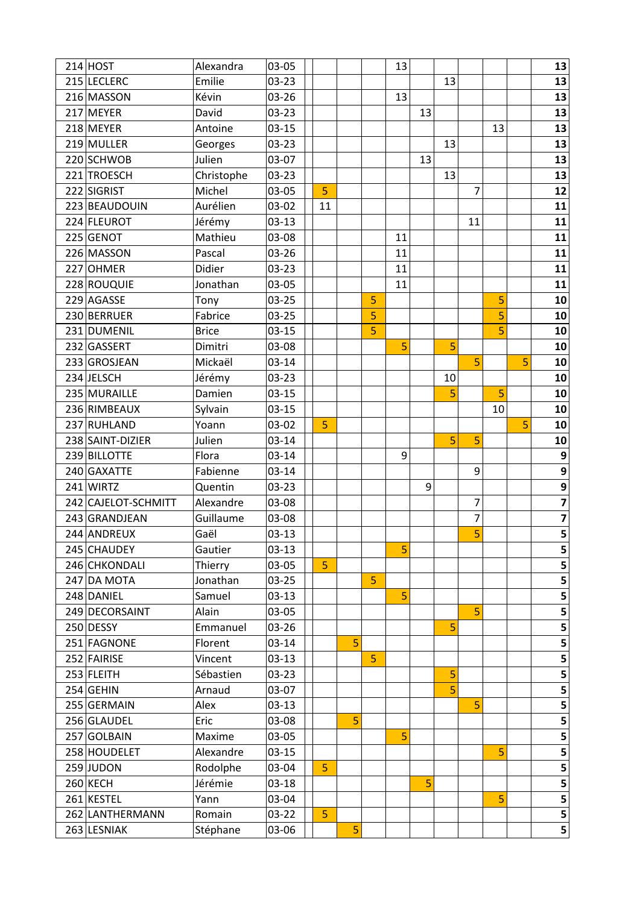| $214$ HOST          | Alexandra    | 03-05     |                |   |   | 13 |    |    |    |    |   | 13               |
|---------------------|--------------|-----------|----------------|---|---|----|----|----|----|----|---|------------------|
| 215 LECLERC         | Emilie       | 03-23     |                |   |   |    |    | 13 |    |    |   | 13               |
| 216 MASSON          | Kévin        | 03-26     |                |   |   | 13 |    |    |    |    |   | 13               |
| 217 MEYER           | David        | $03 - 23$ |                |   |   |    | 13 |    |    |    |   | 13               |
| 218 MEYER           | Antoine      | $03-15$   |                |   |   |    |    |    |    | 13 |   | 13               |
| 219 MULLER          | Georges      | 03-23     |                |   |   |    |    | 13 |    |    |   | 13               |
| 220 SCHWOB          | Julien       | 03-07     |                |   |   |    | 13 |    |    |    |   | 13               |
| 221 TROESCH         | Christophe   | 03-23     |                |   |   |    |    | 13 |    |    |   | 13               |
| 222 SIGRIST         | Michel       | 03-05     | 5              |   |   |    |    |    | 7  |    |   | 12               |
| 223 BEAUDOUIN       | Aurélien     | 03-02     | 11             |   |   |    |    |    |    |    |   | 11               |
| 224 FLEUROT         | Jérémy       | $03-13$   |                |   |   |    |    |    | 11 |    |   | 11               |
| 225 GENOT           | Mathieu      | 03-08     |                |   |   | 11 |    |    |    |    |   | 11               |
| 226 MASSON          | Pascal       | 03-26     |                |   |   | 11 |    |    |    |    |   | 11               |
| 227 OHMER           | Didier       | $03 - 23$ |                |   |   | 11 |    |    |    |    |   | 11               |
| 228 ROUQUIE         | Jonathan     | 03-05     |                |   |   | 11 |    |    |    |    |   | 11               |
| 229 AGASSE          | Tony         | 03-25     |                |   | 5 |    |    |    |    | 5  |   | 10               |
| 230 BERRUER         | Fabrice      | $03 - 25$ |                |   | 5 |    |    |    |    | 5  |   | 10               |
| 231 DUMENIL         | <b>Brice</b> | $03-15$   |                |   | 5 |    |    |    |    | 5  |   | 10               |
| 232 GASSERT         | Dimitri      | 03-08     |                |   |   | 5  |    | 5  |    |    |   | 10               |
| 233 GROSJEAN        | Mickaël      | $03 - 14$ |                |   |   |    |    |    | 5  |    | 5 | 10               |
| 234 JELSCH          | Jérémy       | 03-23     |                |   |   |    |    | 10 |    |    |   | 10               |
| 235 MURAILLE        | Damien       | $03 - 15$ |                |   |   |    |    | 5  |    | 5  |   | 10               |
| 236 RIMBEAUX        | Sylvain      | $03-15$   |                |   |   |    |    |    |    | 10 |   | 10               |
| 237 RUHLAND         | Yoann        | 03-02     | 5              |   |   |    |    |    |    |    | 5 | 10               |
| 238 SAINT-DIZIER    | Julien       | $03 - 14$ |                |   |   |    |    | 5  | 5  |    |   | 10               |
| 239 BILLOTTE        | Flora        | $03 - 14$ |                |   |   | 9  |    |    |    |    |   | $\boldsymbol{9}$ |
| 240 GAXATTE         | Fabienne     | $03 - 14$ |                |   |   |    |    |    | 9  |    |   | $\overline{9}$   |
| 241 WIRTZ           | Quentin      | 03-23     |                |   |   |    | 9  |    |    |    |   | 9                |
| 242 CAJELOT-SCHMITT | Alexandre    | 03-08     |                |   |   |    |    |    | 7  |    |   | $\frac{7}{7}$    |
| 243 GRANDJEAN       | Guillaume    | 03-08     |                |   |   |    |    |    | 7  |    |   |                  |
| 244 ANDREUX         | Gaël         | $03 - 13$ |                |   |   |    |    |    | 5  |    |   |                  |
| 245 CHAUDEY         | Gautier      | $03 - 13$ |                |   |   | 5  |    |    |    |    |   | 5                |
| 246 CHKONDALI       | Thierry      | 03-05     | 5              |   |   |    |    |    |    |    |   | 5                |
| 247 DA MOTA         | Jonathan     | $03 - 25$ |                |   | 5 |    |    |    |    |    |   | 5                |
| 248 DANIEL          | Samuel       | $03-13$   |                |   |   | 5  |    |    |    |    |   | 5                |
| 249 DECORSAINT      | Alain        | 03-05     |                |   |   |    |    |    | 5  |    |   | 5                |
| 250 DESSY           | Emmanuel     | 03-26     |                |   |   |    |    | 5  |    |    |   | 5                |
| 251 FAGNONE         | Florent      | $03 - 14$ |                | 5 |   |    |    |    |    |    |   | 5                |
| 252 FAIRISE         | Vincent      | $03-13$   |                |   | 5 |    |    |    |    |    |   | 5                |
| 253 FLEITH          | Sébastien    | $03 - 23$ |                |   |   |    |    | 5  |    |    |   | 5                |
| $254$ GEHIN         | Arnaud       | 03-07     |                |   |   |    |    | 5  |    |    |   | 5                |
| 255 GERMAIN         | Alex         | $03-13$   |                |   |   |    |    |    | 5  |    |   | 5                |
| 256 GLAUDEL         | Eric         | 03-08     |                | 5 |   |    |    |    |    |    |   | 5                |
| 257 GOLBAIN         | Maxime       | 03-05     |                |   |   | 5  |    |    |    |    |   | 5                |
| 258 HOUDELET        | Alexandre    | $03-15$   |                |   |   |    |    |    |    | 5  |   | 5                |
| 259 JUDON           | Rodolphe     | 03-04     | 5              |   |   |    |    |    |    |    |   | 5                |
| 260 KECH            | Jérémie      | $03-18$   |                |   |   |    | 5  |    |    |    |   | 5                |
| 261 KESTEL          | Yann         | 03-04     |                |   |   |    |    |    |    | 5  |   | 5                |
| 262 LANTHERMANN     | Romain       | $03 - 22$ | $\overline{5}$ |   |   |    |    |    |    |    |   | 5                |
| 263 LESNIAK         | Stéphane     | 03-06     |                | 5 |   |    |    |    |    |    |   | 5                |